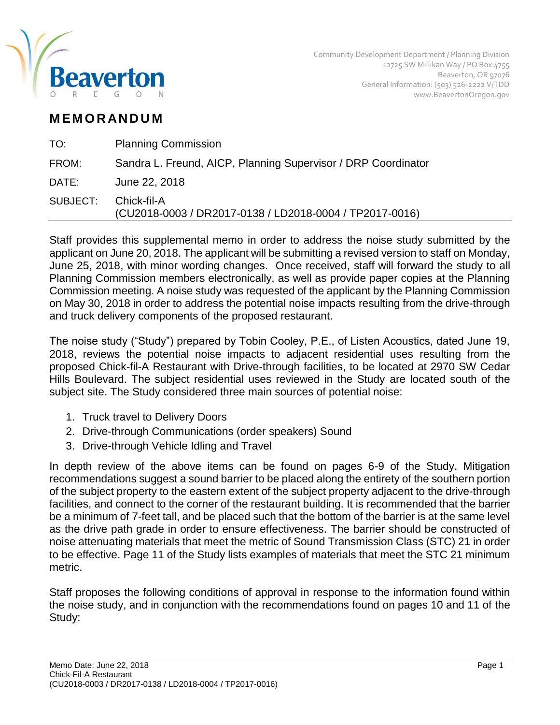

## **M EM O R AN D U M**

| TO:      | <b>Planning Commission</b>                                             |
|----------|------------------------------------------------------------------------|
| FROM:    | Sandra L. Freund, AICP, Planning Supervisor / DRP Coordinator          |
| DATE:    | June 22, 2018                                                          |
| SUBJECT: | Chick-fil-A<br>(CU2018-0003 / DR2017-0138 / LD2018-0004 / TP2017-0016) |
|          |                                                                        |

Staff provides this supplemental memo in order to address the noise study submitted by the applicant on June 20, 2018. The applicant will be submitting a revised version to staff on Monday, June 25, 2018, with minor wording changes. Once received, staff will forward the study to all Planning Commission members electronically, as well as provide paper copies at the Planning Commission meeting. A noise study was requested of the applicant by the Planning Commission on May 30, 2018 in order to address the potential noise impacts resulting from the drive-through and truck delivery components of the proposed restaurant.

The noise study ("Study") prepared by Tobin Cooley, P.E., of Listen Acoustics, dated June 19, 2018, reviews the potential noise impacts to adjacent residential uses resulting from the proposed Chick-fil-A Restaurant with Drive-through facilities, to be located at 2970 SW Cedar Hills Boulevard. The subject residential uses reviewed in the Study are located south of the subject site. The Study considered three main sources of potential noise:

- 1. Truck travel to Delivery Doors
- 2. Drive-through Communications (order speakers) Sound
- 3. Drive-through Vehicle Idling and Travel

In depth review of the above items can be found on pages 6-9 of the Study. Mitigation recommendations suggest a sound barrier to be placed along the entirety of the southern portion of the subject property to the eastern extent of the subject property adjacent to the drive-through facilities, and connect to the corner of the restaurant building. It is recommended that the barrier be a minimum of 7-feet tall, and be placed such that the bottom of the barrier is at the same level as the drive path grade in order to ensure effectiveness. The barrier should be constructed of noise attenuating materials that meet the metric of Sound Transmission Class (STC) 21 in order to be effective. Page 11 of the Study lists examples of materials that meet the STC 21 minimum metric.

Staff proposes the following conditions of approval in response to the information found within the noise study, and in conjunction with the recommendations found on pages 10 and 11 of the Study: